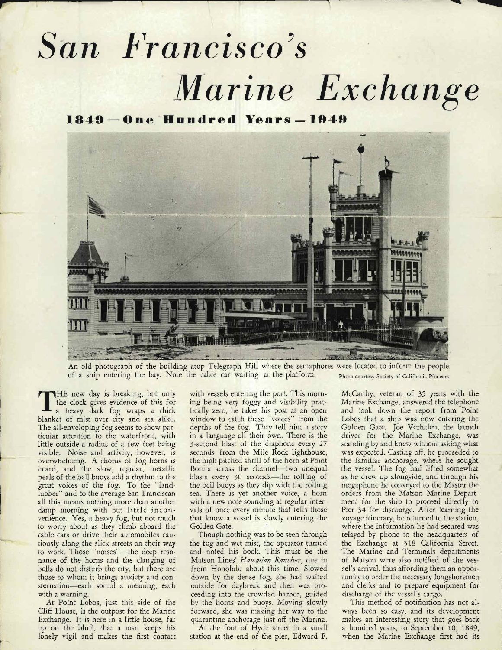## **San Francisco's Marine Exchange**

*1»49 — One Hundred Years — 1949*



An old photograph of the building atop Telegraph Hill where the semaphores were located to inform the people of a ship entering the bay. Note the cable car waiting at the platform. Photo courtesy Society of California Pioneers

THE new day is breaking, but only the clock gives evidence of this for a heavy dark fog wraps a thick blanket of mist over city and sea alike. The all-enveloping fog seems to show par ticular attention to the waterfront, with little outside a radius of a few feet being visible. Noise and activity, however, is overwhelming. A chorus of fog horns is heard, and the slow, regular, metallic peals of the bell buoys add a rhythm to the great voices of the fog. To the "land lubber" and to the average San Franciscan all this means nothing more than another damp morning with but little inconvenience. Yes, a heavy fog, but not much to worry about as they climb aboard the cable cars or drive their automobiles cau tiously along the slick streets on their way to work. Those "noises"—the deep reso nance of the horns and the clanging of bells do not disturb the city, but there are those to whom it brings anxiety and consternation—each sound a meaning, each with a warning.

At Point Lobos, just this side of the Cliff House, is the outpost for the Marine Exchange. It is here in a little house, far up on the bluff, that a man keeps his lonely vigil and makes the first contact

with vessels entering the port. This morning being very foggy and visibility prac tically zero, he takes his post at an open window to catch these "voices" from the depths of the fog. They tell him a story in a language all their own. There is the 3-second blast of the diaphone every 27 seconds from the Mile Rock lighthouse, the high pitched shrill of the horn at Point Bonita across the channel—two unequal blasts every 30 seconds—the tolling of the bell buoys as they dip with the rolling sea. There is yet another voice, a horn with a new note sounding at regular inter vals of once every minute that tells those that know a vessel is slowly entering the Golden Gate.

Though nothing was to be seen through the fog and wet mist, the operator turned and noted his book. This must be the Matson Lines' **Hawaiian Rancher,** due in from Honolulu about this time. Slowed down by the dense fog, she had waited outside for daybreak and then was pro ceeding into the crowded harbor, guided by the horns and buoys. Moving slowly forward, she was making her way to the quarantine anchorage just off the Marina.

At the foot of Hyde street in a small station at the end of the pier, Edward F.

McCarthy, veteran of 35 years with the Marine Exchange, answered the telephone and took down the report from Point Lobos that a ship was now entering the Golden Gate. Joe Verhalen, the launch driver for the Marine Exchange, was standing by and knew without asking what was expected. Casting off, he proceeded to the familiar anchorage, where he sought the vessel. The fog had lifted somewhat as he drew up alongside, and through his megaphone he conveyed to the Master the orders from the Matson Marine Depart ment for the ship to proceed directly to Pier 34 for discharge. After learning the voyage itinerary, he returned to the station, where the information he had secured was relayed by phone to the headquarters of the Exchange at 318 California Street. The Marine and Terminals departments of Matson were also notified of the ves sel's arrival, thus affording them an opportunity to order the necessary longshoremen and clerks and to prepare equipment for discharge of the vessel's cargo.

This method of notification has not al ways been so easy, and its development makes an interesting story that goes back a hundred years, to September 10, 1849, when the Marine Exchange first had its